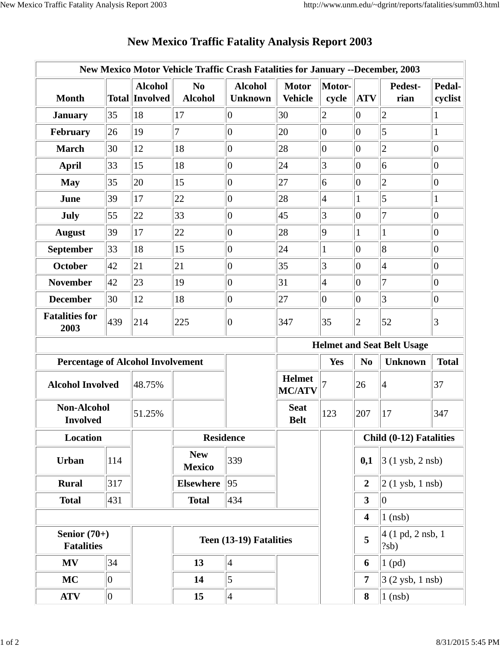|                                          |     |                                         | New Mexico Motor Vehicle Traffic Crash Fatalities for January --December, 2003 |                                  |                                |                 |                         |                                     |                   |
|------------------------------------------|-----|-----------------------------------------|--------------------------------------------------------------------------------|----------------------------------|--------------------------------|-----------------|-------------------------|-------------------------------------|-------------------|
| <b>Month</b>                             |     | <b>Alcohol</b><br><b>Total Involved</b> | N <sub>0</sub><br><b>Alcohol</b>                                               | <b>Alcohol</b><br><b>Unknown</b> | <b>Motor</b><br><b>Vehicle</b> | Motor-<br>cycle | <b>ATV</b>              | Pedest-<br>rian                     | Pedal-<br>cyclist |
| <b>January</b>                           | 35  | 18                                      | 17                                                                             | $ 0\rangle$                      | 30                             | $\overline{2}$  | 0                       | $ 2\rangle$                         |                   |
| February                                 | 26  | 19                                      | $\overline{7}$                                                                 | $ 0\rangle$                      | 20                             | $\overline{0}$  | $ 0\rangle$             | 5                                   | $\mathbf{1}$      |
| <b>March</b>                             | 30  | 12                                      | 18                                                                             | $ 0\rangle$                      | 28                             | $\overline{0}$  | $ 0\rangle$             | $\overline{2}$                      | $ 0\rangle$       |
| <b>April</b>                             | 33  | 15                                      | 18                                                                             | $ 0\rangle$                      | 24                             | 3               | $ 0\rangle$             | $\vert 6 \vert$                     | $ 0\rangle$       |
| <b>May</b>                               | 35  | 20                                      | 15                                                                             | $ 0\rangle$                      | 27                             | 6               | $ 0\rangle$             | $\overline{c}$                      | $ 0\rangle$       |
| June                                     | 39  | 17                                      | 22                                                                             | $ 0\rangle$                      | 28                             | 4               |                         | 5                                   |                   |
| July                                     | 55  | 22                                      | 33                                                                             | $ 0\rangle$                      | 45                             | $\vert 3 \vert$ | $ 0\rangle$             | 7                                   | $ 0\rangle$       |
| <b>August</b>                            | 39  | 17                                      | 22                                                                             | $ 0\rangle$                      | 28                             | $\overline{9}$  | 1                       | $\mathbf{1}$                        | $ 0\rangle$       |
| <b>September</b>                         | 33  | 18                                      | 15                                                                             | $ 0\rangle$                      | 24                             | $\mathbf{1}$    | $ 0\rangle$             | 8                                   | $ 0\rangle$       |
| <b>October</b>                           | 42  | 21                                      | 21                                                                             | $ 0\rangle$                      | 35                             | 3               | $ 0\rangle$             | $\vert 4$                           | $ 0\rangle$       |
| <b>November</b>                          | 42  | 23                                      | 19                                                                             | $ 0\rangle$                      | 31                             | $\overline{4}$  | $ 0\rangle$             | $\overline{7}$                      | $ 0\rangle$       |
| <b>December</b>                          | 30  | 12                                      | 18                                                                             | 0                                | 27                             | $\overline{0}$  | $ 0\rangle$             | 3                                   | $ 0\rangle$       |
| <b>Fatalities for</b><br>2003            | 439 | 214                                     | 225                                                                            | 10                               | 347                            | 35              | $ 2\rangle$             | 52                                  | $\vert 3 \vert$   |
|                                          |     |                                         |                                                                                |                                  |                                |                 |                         | <b>Helmet and Seat Belt Usage</b>   |                   |
| <b>Percentage of Alcohol Involvement</b> |     |                                         |                                                                                |                                  |                                | Yes             | N <sub>0</sub>          | <b>Unknown</b>                      | <b>Total</b>      |
| <b>Alcohol Involved</b>                  |     | 48.75%                                  |                                                                                |                                  | <b>Helmet</b><br><b>MC/ATV</b> |                 | 26                      | $\vert 4$                           | 37                |
| <b>Non-Alcohol</b><br><b>Involved</b>    |     | 51.25%                                  |                                                                                |                                  | <b>Seat</b><br><b>Belt</b>     | 123             | 207                     | 17                                  | 347               |
| Location                                 |     |                                         | <b>Residence</b>                                                               |                                  |                                |                 | Child (0-12) Fatalities |                                     |                   |
| <b>Urban</b>                             | 114 |                                         | <b>New</b><br><b>Mexico</b>                                                    | 339                              |                                |                 | 0,1                     | $3(1 \text{ ysb}, 2 \text{ nsb})$   |                   |
| <b>Rural</b>                             | 317 |                                         | <b>Elsewhere</b>                                                               | 95                               |                                |                 | $\overline{2}$          | $ 2(1 \text{ ysb}, 1 \text{ nsb}) $ |                   |
| <b>Total</b>                             | 431 |                                         | <b>Total</b>                                                                   | 434                              |                                |                 | $\mathbf{3}$            | $ 0\rangle$                         |                   |
|                                          |     |                                         |                                                                                |                                  |                                |                 | $\overline{\mathbf{4}}$ | $1$ (nsb)                           |                   |
| Senior $(70+)$<br><b>Fatalities</b>      |     |                                         | Teen (13-19) Fatalities                                                        |                                  |                                |                 | 5                       | 4 (1 pd, 2 nsb, 1)<br>?sb)          |                   |
| <b>MV</b>                                | 34  |                                         | 13                                                                             | $\vert 4 \vert$                  |                                |                 | 6                       | $1$ (pd)                            |                   |
| <b>MC</b>                                | 0   |                                         | 14                                                                             | $\vert$ 5                        |                                |                 | $\overline{7}$          | $3(2 \text{ ysb}, 1 \text{ nsb})$   |                   |
|                                          |     |                                         |                                                                                |                                  |                                |                 |                         |                                     |                   |

## **New Mexico Traffic Fatality Analysis Report 2003**